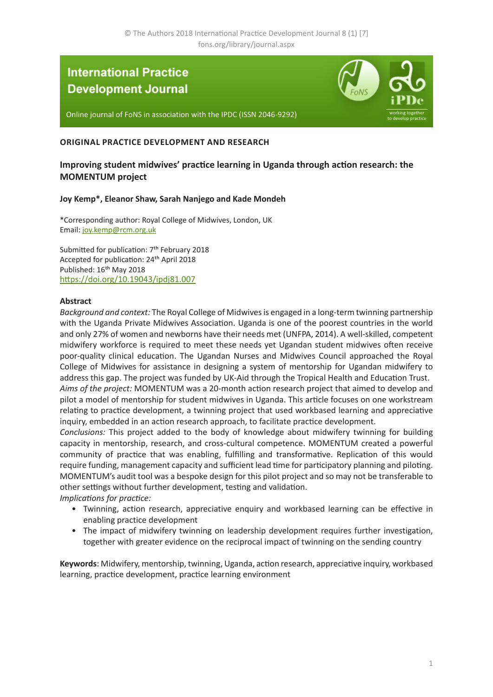# **International Practice Development Journal**



Online journal of FoNS in association with the IPDC (ISSN 2046-9292)

# **ORIGINAL PRACTICE DEVELOPMENT AND RESEARCH**

# **Improving student midwives' practice learning in Uganda through action research: the MOMENTUM project**

### **Joy Kemp\*, Eleanor Shaw, Sarah Nanjego and Kade Mondeh**

\*Corresponding author: Royal College of Midwives, London, UK Email: [joy.kemp@rcm.org.uk](mailto:joy.kemp%40rcm.org.uk?subject=IPDJ%20article)

Submitted for publication: 7<sup>th</sup> February 2018 Accepted for publication: 24th April 2018 Published: 16<sup>th</sup> May 2018 <https://doi.org/10.19043/ipdj81.007>

### **Abstract**

*Background and context:* The Royal College of Midwives is engaged in a long-term twinning partnership with the Uganda Private Midwives Association. Uganda is one of the poorest countries in the world and only 27% of women and newborns have their needs met (UNFPA, 2014). A well-skilled, competent midwifery workforce is required to meet these needs yet Ugandan student midwives often receive poor-quality clinical education. The Ugandan Nurses and Midwives Council approached the Royal College of Midwives for assistance in designing a system of mentorship for Ugandan midwifery to address this gap. The project was funded by UK-Aid through the Tropical Health and Education Trust. *Aims of the project:* MOMENTUM was a 20-month action research project that aimed to develop and pilot a model of mentorship for student midwives in Uganda. This article focuses on one workstream relating to practice development, a twinning project that used workbased learning and appreciative

inquiry, embedded in an action research approach, to facilitate practice development. *Conclusions:* This project added to the body of knowledge about midwifery twinning for building capacity in mentorship, research, and cross-cultural competence. MOMENTUM created a powerful community of practice that was enabling, fulfilling and transformative. Replication of this would require funding, management capacity and sufficient lead time for participatory planning and piloting. MOMENTUM's audit tool was a bespoke design for this pilot project and so may not be transferable to other settings without further development, testing and validation.

*Implications for practice:*

- Twinning, action research, appreciative enquiry and workbased learning can be effective in enabling practice development
- The impact of midwifery twinning on leadership development requires further investigation, together with greater evidence on the reciprocal impact of twinning on the sending country

**Keywords**: Midwifery, mentorship, twinning, Uganda, action research, appreciative inquiry, workbased learning, practice development, practice learning environment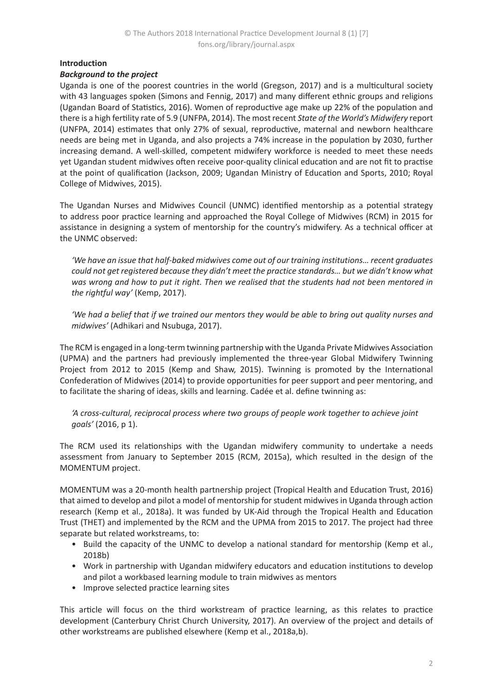# **Introduction**

# *Background to the project*

Uganda is one of the poorest countries in the world (Gregson, 2017) and is a multicultural society with 43 languages spoken (Simons and Fennig, 2017) and many different ethnic groups and religions (Ugandan Board of Statistics, 2016). Women of reproductive age make up 22% of the population and there is a high fertility rate of 5.9 (UNFPA, 2014). The most recent *State of the World's Midwifery* report (UNFPA, 2014) estimates that only 27% of sexual, reproductive, maternal and newborn healthcare needs are being met in Uganda, and also projects a 74% increase in the population by 2030, further increasing demand. A well-skilled, competent midwifery workforce is needed to meet these needs yet Ugandan student midwives often receive poor-quality clinical education and are not fit to practise at the point of qualification (Jackson, 2009; Ugandan Ministry of Education and Sports, 2010; Royal College of Midwives, 2015).

The Ugandan Nurses and Midwives Council (UNMC) identified mentorship as a potential strategy to address poor practice learning and approached the Royal College of Midwives (RCM) in 2015 for assistance in designing a system of mentorship for the country's midwifery. As a technical officer at the UNMC observed:

*'We have an issue that half-baked midwives come out of our training institutions… recent graduates could not get registered because they didn't meet the practice standards… but we didn't know what was wrong and how to put it right. Then we realised that the students had not been mentored in the rightful way'* (Kemp, 2017).

*'We had a belief that if we trained our mentors they would be able to bring out quality nurses and midwives'* (Adhikari and Nsubuga, 2017).

The RCM is engaged in a long-term twinning partnership with the Uganda Private Midwives Association (UPMA) and the partners had previously implemented the three-year Global Midwifery Twinning Project from 2012 to 2015 (Kemp and Shaw, 2015). Twinning is promoted by the International Confederation of Midwives (2014) to provide opportunities for peer support and peer mentoring, and to facilitate the sharing of ideas, skills and learning. Cadée et al. define twinning as:

*'A cross-cultural, reciprocal process where two groups of people work together to achieve joint goals'* (2016, p 1).

The RCM used its relationships with the Ugandan midwifery community to undertake a needs assessment from January to September 2015 (RCM, 2015a), which resulted in the design of the MOMENTUM project.

MOMENTUM was a 20-month health partnership project (Tropical Health and Education Trust, 2016) that aimed to develop and pilot a model of mentorship for student midwives in Uganda through action research (Kemp et al., 2018a). It was funded by UK-Aid through the Tropical Health and Education Trust (THET) and implemented by the RCM and the UPMA from 2015 to 2017. The project had three separate but related workstreams, to:

- Build the capacity of the UNMC to develop a national standard for mentorship (Kemp et al., 2018b)
- Work in partnership with Ugandan midwifery educators and education institutions to develop and pilot a workbased learning module to train midwives as mentors
- Improve selected practice learning sites

This article will focus on the third workstream of practice learning, as this relates to practice development (Canterbury Christ Church University, 2017). An overview of the project and details of other workstreams are published elsewhere (Kemp et al., 2018a,b).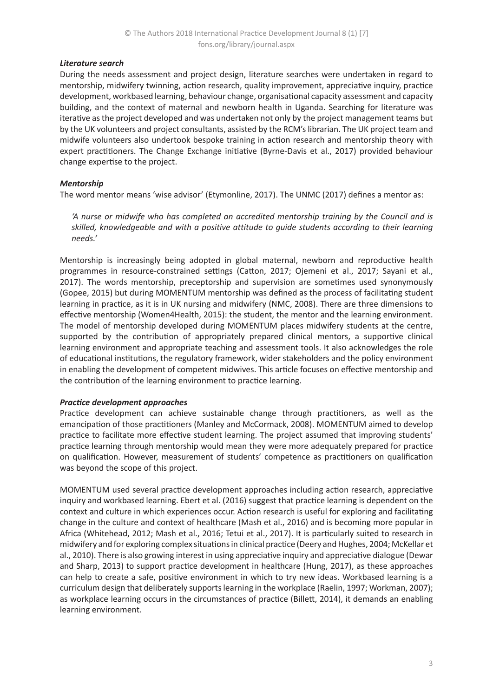# *Literature search*

During the needs assessment and project design, literature searches were undertaken in regard to mentorship, midwifery twinning, action research, quality improvement, appreciative inquiry, practice development, workbased learning, behaviour change, organisational capacity assessment and capacity building, and the context of maternal and newborn health in Uganda. Searching for literature was iterative as the project developed and was undertaken not only by the project management teams but by the UK volunteers and project consultants, assisted by the RCM's librarian. The UK project team and midwife volunteers also undertook bespoke training in action research and mentorship theory with expert practitioners. The Change Exchange initiative (Byrne-Davis et al., 2017) provided behaviour change expertise to the project.

# *Mentorship*

The word mentor means 'wise advisor' (Etymonline, 2017). The UNMC (2017) defines a mentor as:

*'A nurse or midwife who has completed an accredited mentorship training by the Council and is skilled, knowledgeable and with a positive attitude to guide students according to their learning needs.'*

Mentorship is increasingly being adopted in global maternal, newborn and reproductive health programmes in resource-constrained settings (Catton, 2017; Ojemeni et al., 2017; Sayani et al., 2017). The words mentorship, preceptorship and supervision are sometimes used synonymously (Gopee, 2015) but during MOMENTUM mentorship was defined as the process of facilitating student learning in practice, as it is in UK nursing and midwifery (NMC, 2008). There are three dimensions to effective mentorship (Women4Health, 2015): the student, the mentor and the learning environment. The model of mentorship developed during MOMENTUM places midwifery students at the centre, supported by the contribution of appropriately prepared clinical mentors, a supportive clinical learning environment and appropriate teaching and assessment tools. It also acknowledges the role of educational institutions, the regulatory framework, wider stakeholders and the policy environment in enabling the development of competent midwives. This article focuses on effective mentorship and the contribution of the learning environment to practice learning.

### *Practice development approaches*

Practice development can achieve sustainable change through practitioners, as well as the emancipation of those practitioners (Manley and McCormack, 2008). MOMENTUM aimed to develop practice to facilitate more effective student learning. The project assumed that improving students' practice learning through mentorship would mean they were more adequately prepared for practice on qualification. However, measurement of students' competence as practitioners on qualification was beyond the scope of this project.

MOMENTUM used several practice development approaches including action research, appreciative inquiry and workbased learning. Ebert et al. (2016) suggest that practice learning is dependent on the context and culture in which experiences occur. Action research is useful for exploring and facilitating change in the culture and context of healthcare (Mash et al., 2016) and is becoming more popular in Africa (Whitehead, 2012; Mash et al., 2016; Tetui et al., 2017). It is particularly suited to research in midwifery and for exploring complex situations in clinical practice (Deery and Hughes, 2004; McKellar et al., 2010). There is also growing interest in using appreciative inquiry and appreciative dialogue (Dewar and Sharp, 2013) to support practice development in healthcare (Hung, 2017), as these approaches can help to create a safe, positive environment in which to try new ideas. Workbased learning is a curriculum design that deliberately supports learning in the workplace (Raelin, 1997; Workman, 2007); as workplace learning occurs in the circumstances of practice (Billett, 2014), it demands an enabling learning environment.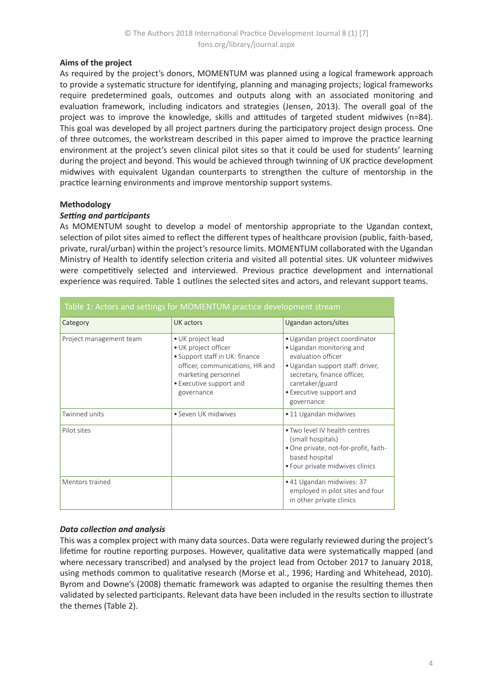### **Aims of the project**

As required by the project's donors, MOMENTUM was planned using a logical framework approach to provide a systematic structure for identifying, planning and managing projects; logical frameworks require predetermined goals, outcomes and outputs along with an associated monitoring and evaluation framework, including indicators and strategies (Jensen, 2013). The overall goal of the project was to improve the knowledge, skills and attitudes of targeted student midwives (n=84). This goal was developed by all project partners during the participatory project design process. One of three outcomes, the workstream described in this paper aimed to improve the practice learning environment at the project's seven clinical pilot sites so that it could be used for students' learning during the project and beyond. This would be achieved through twinning of UK practice development midwives with equivalent Ugandan counterparts to strengthen the culture of mentorship in the practice learning environments and improve mentorship support systems.

# **Methodology**

### *Setting and participants*

As MOMENTUM sought to develop a model of mentorship appropriate to the Ugandan context, selection of pilot sites aimed to reflect the different types of healthcare provision (public, faith-based, private, rural/urban) within the project's resource limits. MOMENTUM collaborated with the Ugandan Ministry of Health to identify selection criteria and visited all potential sites. UK volunteer midwives were competitively selected and interviewed. Previous practice development and international experience was required. Table 1 outlines the selected sites and actors, and relevant support teams.

| Table 1: Actors and settings for MOMENTUM practice development stream |                                                                                                                                                                                |                                                                                                                                                                                                                |  |  |
|-----------------------------------------------------------------------|--------------------------------------------------------------------------------------------------------------------------------------------------------------------------------|----------------------------------------------------------------------------------------------------------------------------------------------------------------------------------------------------------------|--|--|
| Category                                                              | UK actors                                                                                                                                                                      | Ugandan actors/sites                                                                                                                                                                                           |  |  |
| Project management team                                               | • UK project lead<br>• UK project officer<br>• Support staff in UK: finance<br>officer, communications, HR and<br>marketing personnel<br>• Executive support and<br>governance | · Ugandan project coordinator<br>• Ugandan monitoring and<br>evaluation officer<br>• Ugandan support staff: driver,<br>secretary, finance officer,<br>caretaker/guard<br>• Executive support and<br>governance |  |  |
| Twinned units                                                         | • Seven UK midwives                                                                                                                                                            | • 11 Ugandan midwives                                                                                                                                                                                          |  |  |
| Pilot sites                                                           |                                                                                                                                                                                | • Two level IV health centres<br>(small hospitals)<br>• One private, not-for-profit, faith-<br>based hospital<br>• Four private midwives clinics                                                               |  |  |
| Mentors trained                                                       |                                                                                                                                                                                | • 41 Ugandan midwives: 37<br>employed in pilot sites and four<br>in other private clinics                                                                                                                      |  |  |

# *Data collection and analysis*

This was a complex project with many data sources. Data were regularly reviewed during the project's lifetime for routine reporting purposes. However, qualitative data were systematically mapped (and where necessary transcribed) and analysed by the project lead from October 2017 to January 2018, using methods common to qualitative research (Morse et al., 1996; Harding and Whitehead, 2010). Byrom and Downe's (2008) thematic framework was adapted to organise the resulting themes then validated by selected participants. Relevant data have been included in the results section to illustrate the themes (Table 2).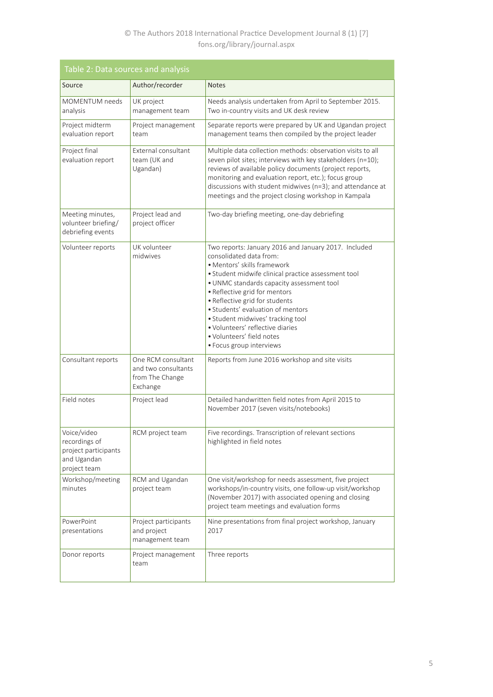# © The Authors 2018 International Practice Development Journal 8 (1) [7] fons.org/library/journal.aspx

| Table 2: Data sources and analysis                                                  |                                                                          |                                                                                                                                                                                                                                                                                                                                                                                                                                                              |  |
|-------------------------------------------------------------------------------------|--------------------------------------------------------------------------|--------------------------------------------------------------------------------------------------------------------------------------------------------------------------------------------------------------------------------------------------------------------------------------------------------------------------------------------------------------------------------------------------------------------------------------------------------------|--|
| Source                                                                              | Author/recorder                                                          | <b>Notes</b>                                                                                                                                                                                                                                                                                                                                                                                                                                                 |  |
| <b>MOMENTUM</b> needs<br>analysis                                                   | UK project<br>management team                                            | Needs analysis undertaken from April to September 2015.<br>Two in-country visits and UK desk review                                                                                                                                                                                                                                                                                                                                                          |  |
| Project midterm<br>evaluation report                                                | Project management<br>team                                               | Separate reports were prepared by UK and Ugandan project<br>management teams then compiled by the project leader                                                                                                                                                                                                                                                                                                                                             |  |
| Project final<br>evaluation report                                                  | External consultant<br>team (UK and<br>Ugandan)                          | Multiple data collection methods: observation visits to all<br>seven pilot sites; interviews with key stakeholders (n=10);<br>reviews of available policy documents (project reports,<br>monitoring and evaluation report, etc.); focus group<br>discussions with student midwives (n=3); and attendance at<br>meetings and the project closing workshop in Kampala                                                                                          |  |
| Meeting minutes,<br>volunteer briefing/<br>debriefing events                        | Project lead and<br>project officer                                      | Two-day briefing meeting, one-day debriefing                                                                                                                                                                                                                                                                                                                                                                                                                 |  |
| Volunteer reports                                                                   | UK volunteer<br>midwives                                                 | Two reports: January 2016 and January 2017. Included<br>consolidated data from:<br>· Mentors' skills framework<br>· Student midwife clinical practice assessment tool<br>· UNMC standards capacity assessment tool<br>• Reflective grid for mentors<br>• Reflective grid for students<br>• Students' evaluation of mentors<br>· Student midwives' tracking tool<br>· Volunteers' reflective diaries<br>· Volunteers' field notes<br>· Focus group interviews |  |
| Consultant reports                                                                  | One RCM consultant<br>and two consultants<br>from The Change<br>Exchange | Reports from June 2016 workshop and site visits                                                                                                                                                                                                                                                                                                                                                                                                              |  |
| Field notes                                                                         | Project lead                                                             | Detailed handwritten field notes from April 2015 to<br>November 2017 (seven visits/notebooks)                                                                                                                                                                                                                                                                                                                                                                |  |
| Voice/video<br>recordings of<br>project participants<br>and Ugandan<br>project team | RCM project team                                                         | Five recordings. Transcription of relevant sections<br>highlighted in field notes                                                                                                                                                                                                                                                                                                                                                                            |  |
| Workshop/meeting<br>minutes                                                         | RCM and Ugandan<br>project team                                          | One visit/workshop for needs assessment, five project<br>workshops/in-country visits, one follow-up visit/workshop<br>(November 2017) with associated opening and closing<br>project team meetings and evaluation forms                                                                                                                                                                                                                                      |  |
| PowerPoint<br>presentations                                                         | Project participants<br>and project<br>management team                   | Nine presentations from final project workshop, January<br>2017                                                                                                                                                                                                                                                                                                                                                                                              |  |
| Donor reports                                                                       | Project management<br>team                                               | Three reports                                                                                                                                                                                                                                                                                                                                                                                                                                                |  |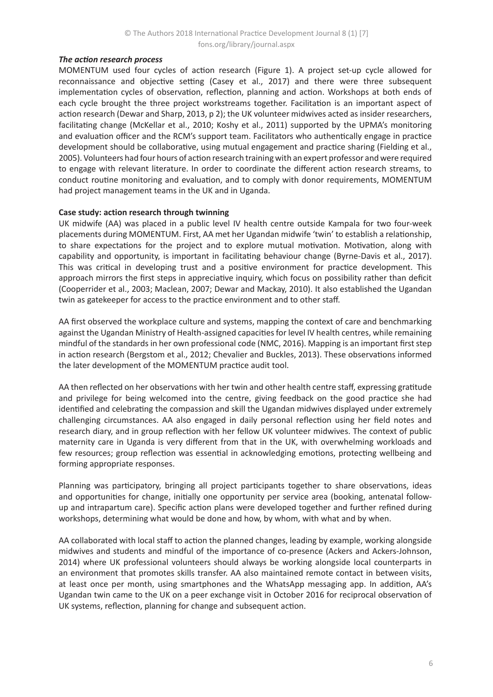# *The action research process*

MOMENTUM used four cycles of action research (Figure 1). A project set-up cycle allowed for reconnaissance and objective setting (Casey et al., 2017) and there were three subsequent implementation cycles of observation, reflection, planning and action. Workshops at both ends of each cycle brought the three project workstreams together. Facilitation is an important aspect of action research (Dewar and Sharp, 2013, p 2); the UK volunteer midwives acted as insider researchers, facilitating change (McKellar et al., 2010; Koshy et al., 2011) supported by the UPMA's monitoring and evaluation officer and the RCM's support team. Facilitators who authentically engage in practice development should be collaborative, using mutual engagement and practice sharing (Fielding et al., 2005). Volunteers had four hours of action research training with an expert professor and were required to engage with relevant literature. In order to coordinate the different action research streams, to conduct routine monitoring and evaluation, and to comply with donor requirements, MOMENTUM had project management teams in the UK and in Uganda.

### **Case study: action research through twinning**

UK midwife (AA) was placed in a public level IV health centre outside Kampala for two four-week placements during MOMENTUM. First, AA met her Ugandan midwife 'twin' to establish a relationship, to share expectations for the project and to explore mutual motivation. Motivation, along with capability and opportunity, is important in facilitating behaviour change (Byrne-Davis et al., 2017). This was critical in developing trust and a positive environment for practice development. This approach mirrors the first steps in appreciative inquiry, which focus on possibility rather than deficit (Cooperrider et al., 2003; Maclean, 2007; Dewar and Mackay, 2010). It also established the Ugandan twin as gatekeeper for access to the practice environment and to other staff.

AA first observed the workplace culture and systems, mapping the context of care and benchmarking against the Ugandan Ministry of Health-assigned capacities for level IV health centres, while remaining mindful of the standards in her own professional code (NMC, 2016). Mapping is an important first step in action research (Bergstom et al., 2012; Chevalier and Buckles, 2013). These observations informed the later development of the MOMENTUM practice audit tool.

AA then reflected on her observations with her twin and other health centre staff, expressing gratitude and privilege for being welcomed into the centre, giving feedback on the good practice she had identified and celebrating the compassion and skill the Ugandan midwives displayed under extremely challenging circumstances. AA also engaged in daily personal reflection using her field notes and research diary, and in group reflection with her fellow UK volunteer midwives. The context of public maternity care in Uganda is very different from that in the UK, with overwhelming workloads and few resources; group reflection was essential in acknowledging emotions, protecting wellbeing and forming appropriate responses.

Planning was participatory, bringing all project participants together to share observations, ideas and opportunities for change, initially one opportunity per service area (booking, antenatal followup and intrapartum care). Specific action plans were developed together and further refined during workshops, determining what would be done and how, by whom, with what and by when.

AA collaborated with local staff to action the planned changes, leading by example, working alongside midwives and students and mindful of the importance of co-presence (Ackers and Ackers-Johnson, 2014) where UK professional volunteers should always be working alongside local counterparts in an environment that promotes skills transfer. AA also maintained remote contact in between visits, at least once per month, using smartphones and the WhatsApp messaging app. In addition, AA's Ugandan twin came to the UK on a peer exchange visit in October 2016 for reciprocal observation of UK systems, reflection, planning for change and subsequent action.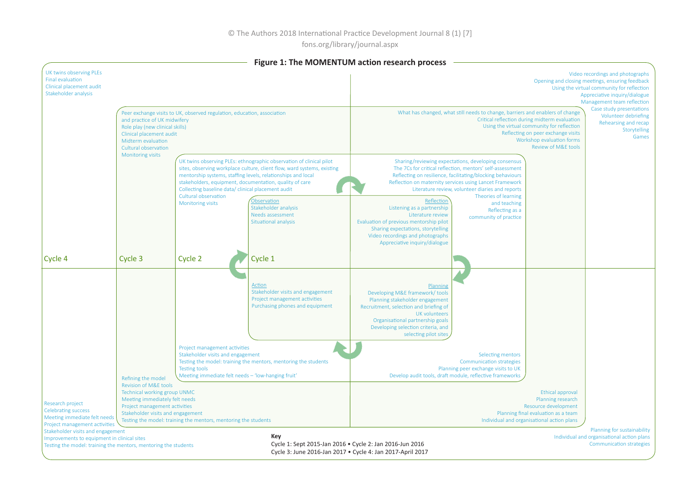fons.org/library/journal.aspx

|                                                                                                                                                      |                                                                                                                                             |                                                                                                                                                  |                                                                                                                                                                                                                                                                                                                                                                     | Figure 1: The MOMENTUM action research process                                                                                                                                                                                                     |                                                                                                                                                                                                                                                                                                                                                                                    |                                                                                                                                                                                                  |                                                                                                                                                                                                  |
|------------------------------------------------------------------------------------------------------------------------------------------------------|---------------------------------------------------------------------------------------------------------------------------------------------|--------------------------------------------------------------------------------------------------------------------------------------------------|---------------------------------------------------------------------------------------------------------------------------------------------------------------------------------------------------------------------------------------------------------------------------------------------------------------------------------------------------------------------|----------------------------------------------------------------------------------------------------------------------------------------------------------------------------------------------------------------------------------------------------|------------------------------------------------------------------------------------------------------------------------------------------------------------------------------------------------------------------------------------------------------------------------------------------------------------------------------------------------------------------------------------|--------------------------------------------------------------------------------------------------------------------------------------------------------------------------------------------------|--------------------------------------------------------------------------------------------------------------------------------------------------------------------------------------------------|
| UK twins observing PLEs<br><b>Final evaluation</b><br>Clinical placement audit<br>Stakeholder analysis                                               |                                                                                                                                             |                                                                                                                                                  |                                                                                                                                                                                                                                                                                                                                                                     |                                                                                                                                                                                                                                                    |                                                                                                                                                                                                                                                                                                                                                                                    |                                                                                                                                                                                                  | Video recordings and photographs<br>Opening and closing meetings, ensuring feedback<br>Using the virtual community for reflection<br>Appreciative inquiry/dialogue<br>Management team reflection |
|                                                                                                                                                      | and practice of UK midwifery<br>Role play (new clinical skills)<br>Clinical placement audit<br>Midterm evaluation<br>Cultural observation   | Peer exchange visits to UK, observed regulation, education, association                                                                          |                                                                                                                                                                                                                                                                                                                                                                     |                                                                                                                                                                                                                                                    | What has changed, what still needs to change, barriers and enablers of change                                                                                                                                                                                                                                                                                                      | Critical reflection during midterm evaluation<br>Using the virtual community for reflection<br>Reflecting on peer exchange visits<br>Workshop evaluation forms<br><b>Review of M&amp;E tools</b> | Case study presentations<br>Volunteer debriefing<br>Rehearsing and recap<br>Storytelling<br>Games                                                                                                |
|                                                                                                                                                      | <b>Monitoring visits</b>                                                                                                                    | Collecting baseline data/ clinical placement audit<br>Cultural observation<br><b>Monitoring visits</b>                                           | UK twins observing PLEs: ethnographic observation of clinical pilot<br>sites, observing workplace culture, client flow, ward systems, existing<br>mentorship systems, staffing levels, relationships and local<br>stakeholders, equipment, documentation, quality of care<br>Observation<br>Stakeholder analysis<br>Needs assessment<br><b>Situational analysis</b> | Reflection<br>Listening as a partnership<br>Literature review<br>Evaluation of previous mentorship pilot<br>Sharing expectations, storytelling<br>Video recordings and photographs<br>Appreciative inquiry/dialogue                                | Sharing/reviewing expectations, developing consensus<br>The 7Cs for critical reflection, mentors' self-assessment<br>Reflecting on resilience, facilitating/blocking behaviours<br>Reflection on maternity services using Lancet Framework<br>Literature review, volunteer diaries and reports<br>Theories of learning<br>and teaching<br>Reflecting as a<br>community of practice |                                                                                                                                                                                                  |                                                                                                                                                                                                  |
| Cycle 4                                                                                                                                              | Cycle 3                                                                                                                                     | Cycle 2                                                                                                                                          | Cycle 1                                                                                                                                                                                                                                                                                                                                                             |                                                                                                                                                                                                                                                    |                                                                                                                                                                                                                                                                                                                                                                                    |                                                                                                                                                                                                  |                                                                                                                                                                                                  |
|                                                                                                                                                      |                                                                                                                                             |                                                                                                                                                  | Action<br>Stakeholder visits and engagement<br>Project management activities<br>Purchasing phones and equipment                                                                                                                                                                                                                                                     | Planning<br>Developing M&E framework/tools<br>Planning stakeholder engagement<br>Recruitment, selection and briefing of<br><b>UK</b> volunteers<br>Organisational partnership goals<br>Developing selection criteria, and<br>selecting pilot sites |                                                                                                                                                                                                                                                                                                                                                                                    |                                                                                                                                                                                                  |                                                                                                                                                                                                  |
|                                                                                                                                                      | Refining the model<br><b>Revision of M&amp;E tools</b>                                                                                      | Project management activities<br>Stakeholder visits and engagement<br><b>Testing tools</b><br>Meeting immediate felt needs - 'low-hanging fruit' | Testing the model: training the mentors, mentoring the students                                                                                                                                                                                                                                                                                                     |                                                                                                                                                                                                                                                    | Selecting mentors<br><b>Communication strategies</b><br>Planning peer exchange visits to UK<br>Develop audit tools, draft module, reflective frameworks                                                                                                                                                                                                                            |                                                                                                                                                                                                  |                                                                                                                                                                                                  |
| Research project<br><b>Celebrating success</b><br>Meeting immediate felt needs<br>Project management activities<br>Stakeholder visits and engagement | <b>Technical working group UNMC</b><br>Meeting immediately felt needs<br>Project management activities<br>Stakeholder visits and engagement | Testing the model: training the mentors, mentoring the students                                                                                  |                                                                                                                                                                                                                                                                                                                                                                     |                                                                                                                                                                                                                                                    |                                                                                                                                                                                                                                                                                                                                                                                    | <b>Ethical approval</b><br>Planning research<br>Resource development<br>Planning final evaluation as a team<br>Individual and organisational action plans                                        | Planning for sustainability                                                                                                                                                                      |
| Improvements to equipment in clinical sites<br>Testing the model: training the mentors, mentoring the students                                       |                                                                                                                                             |                                                                                                                                                  | Key                                                                                                                                                                                                                                                                                                                                                                 | Cycle 1: Sept 2015-Jan 2016 . Cycle 2: Jan 2016-Jun 2016<br>Cycle 3: June 2016-Jan 2017 . Cycle 4: Jan 2017-April 2017                                                                                                                             |                                                                                                                                                                                                                                                                                                                                                                                    |                                                                                                                                                                                                  | Individual and organisational action plans<br><b>Communication strategies</b>                                                                                                                    |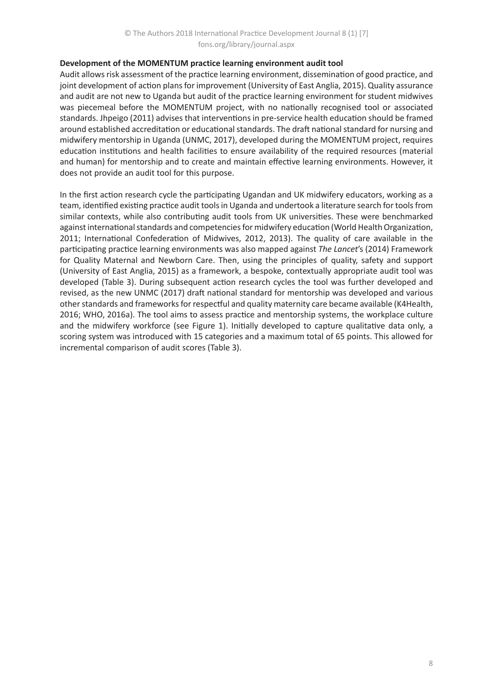# **Development of the MOMENTUM practice learning environment audit tool**

Audit allows risk assessment of the practice learning environment, dissemination of good practice, and joint development of action plans for improvement (University of East Anglia, 2015). Quality assurance and audit are not new to Uganda but audit of the practice learning environment for student midwives was piecemeal before the MOMENTUM project, with no nationally recognised tool or associated standards. Jhpeigo (2011) advises that interventions in pre-service health education should be framed around established accreditation or educational standards. The draft national standard for nursing and midwifery mentorship in Uganda (UNMC, 2017), developed during the MOMENTUM project, requires education institutions and health facilities to ensure availability of the required resources (material and human) for mentorship and to create and maintain effective learning environments. However, it does not provide an audit tool for this purpose.

In the first action research cycle the participating Ugandan and UK midwifery educators, working as a team, identified existing practice audit tools in Uganda and undertook a literature search for tools from similar contexts, while also contributing audit tools from UK universities. These were benchmarked against international standards and competencies for midwifery education (World Health Organization, 2011; International Confederation of Midwives, 2012, 2013). The quality of care available in the participating practice learning environments was also mapped against *The Lancet*'s (2014) Framework for Quality Maternal and Newborn Care. Then, using the principles of quality, safety and support (University of East Anglia, 2015) as a framework, a bespoke, contextually appropriate audit tool was developed (Table 3). During subsequent action research cycles the tool was further developed and revised, as the new UNMC (2017) draft national standard for mentorship was developed and various other standards and frameworks for respectful and quality maternity care became available (K4Health, 2016; WHO, 2016a). The tool aims to assess practice and mentorship systems, the workplace culture and the midwifery workforce (see Figure 1). Initially developed to capture qualitative data only, a scoring system was introduced with 15 categories and a maximum total of 65 points. This allowed for incremental comparison of audit scores (Table 3).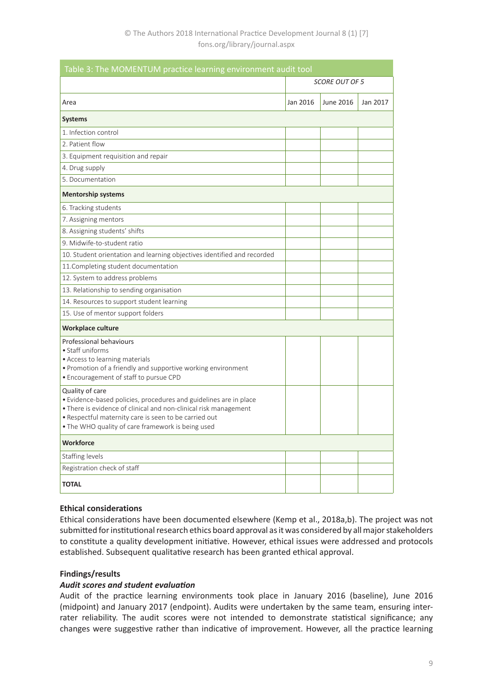| Table 3: The MOMENTUM practice learning environment audit tool                                                                                                                                                                                                         |                       |           |          |  |
|------------------------------------------------------------------------------------------------------------------------------------------------------------------------------------------------------------------------------------------------------------------------|-----------------------|-----------|----------|--|
|                                                                                                                                                                                                                                                                        | <b>SCORE OUT OF 5</b> |           |          |  |
| Area                                                                                                                                                                                                                                                                   | Jan 2016              | June 2016 | Jan 2017 |  |
| <b>Systems</b>                                                                                                                                                                                                                                                         |                       |           |          |  |
| 1. Infection control                                                                                                                                                                                                                                                   |                       |           |          |  |
| 2. Patient flow                                                                                                                                                                                                                                                        |                       |           |          |  |
| 3. Equipment requisition and repair                                                                                                                                                                                                                                    |                       |           |          |  |
| 4. Drug supply                                                                                                                                                                                                                                                         |                       |           |          |  |
| 5. Documentation                                                                                                                                                                                                                                                       |                       |           |          |  |
| <b>Mentorship systems</b>                                                                                                                                                                                                                                              |                       |           |          |  |
| 6. Tracking students                                                                                                                                                                                                                                                   |                       |           |          |  |
| 7. Assigning mentors                                                                                                                                                                                                                                                   |                       |           |          |  |
| 8. Assigning students' shifts                                                                                                                                                                                                                                          |                       |           |          |  |
| 9. Midwife-to-student ratio                                                                                                                                                                                                                                            |                       |           |          |  |
| 10. Student orientation and learning objectives identified and recorded                                                                                                                                                                                                |                       |           |          |  |
| 11. Completing student documentation                                                                                                                                                                                                                                   |                       |           |          |  |
| 12. System to address problems                                                                                                                                                                                                                                         |                       |           |          |  |
| 13. Relationship to sending organisation                                                                                                                                                                                                                               |                       |           |          |  |
| 14. Resources to support student learning                                                                                                                                                                                                                              |                       |           |          |  |
| 15. Use of mentor support folders                                                                                                                                                                                                                                      |                       |           |          |  |
| Workplace culture                                                                                                                                                                                                                                                      |                       |           |          |  |
| Professional behaviours<br>• Staff uniforms<br>• Access to learning materials<br>• Promotion of a friendly and supportive working environment<br>• Encouragement of staff to pursue CPD                                                                                |                       |           |          |  |
| Quality of care<br>• Evidence-based policies, procedures and guidelines are in place<br>• There is evidence of clinical and non-clinical risk management<br>• Respectful maternity care is seen to be carried out<br>• The WHO quality of care framework is being used |                       |           |          |  |
| <b>Workforce</b>                                                                                                                                                                                                                                                       |                       |           |          |  |
| Staffing levels                                                                                                                                                                                                                                                        |                       |           |          |  |
| Registration check of staff                                                                                                                                                                                                                                            |                       |           |          |  |
| <b>TOTAL</b>                                                                                                                                                                                                                                                           |                       |           |          |  |

### **Ethical considerations**

Ethical considerations have been documented elsewhere (Kemp et al., 2018a,b). The project was not submitted for institutional research ethics board approval as it was considered by all major stakeholders to constitute a quality development initiative. However, ethical issues were addressed and protocols established. Subsequent qualitative research has been granted ethical approval.

# **Findings/results**

# *Audit scores and student evaluation*

Audit of the practice learning environments took place in January 2016 (baseline), June 2016 (midpoint) and January 2017 (endpoint). Audits were undertaken by the same team, ensuring interrater reliability. The audit scores were not intended to demonstrate statistical significance; any changes were suggestive rather than indicative of improvement. However, all the practice learning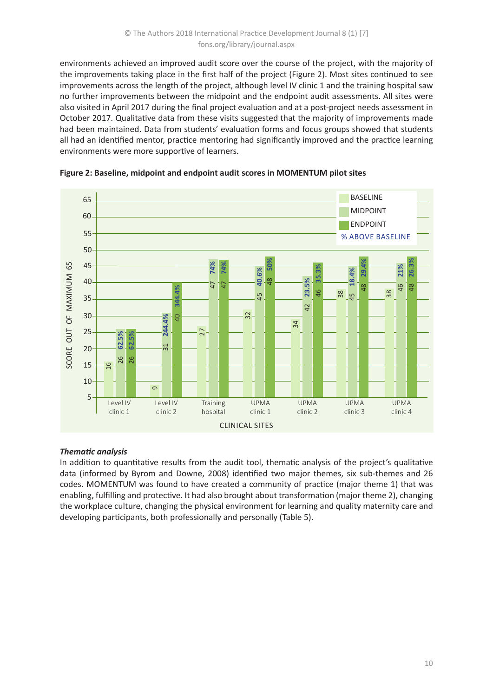environments achieved an improved audit score over the course of the project, with the majority of the improvements taking place in the first half of the project (Figure 2). Most sites continued to see improvements across the length of the project, although level IV clinic 1 and the training hospital saw no further improvements between the midpoint and the endpoint audit assessments. All sites were also visited in April 2017 during the final project evaluation and at a post-project needs assessment in October 2017. Qualitative data from these visits suggested that the majority of improvements made had been maintained. Data from students' evaluation forms and focus groups showed that students all had an identified mentor, practice mentoring had significantly improved and the practice learning environments were more supportive of learners.



**Figure 2: Baseline, midpoint and endpoint audit scores in MOMENTUM pilot sites**

# *Thematic analysis*

In addition to quantitative results from the audit tool, thematic analysis of the project's qualitative data (informed by Byrom and Downe, 2008) identified two major themes, six sub-themes and 26 codes. MOMENTUM was found to have created a community of practice (major theme 1) that was enabling, fulfilling and protective. It had also brought about transformation (major theme 2), changing the workplace culture, changing the physical environment for learning and quality maternity care and developing participants, both professionally and personally (Table 5).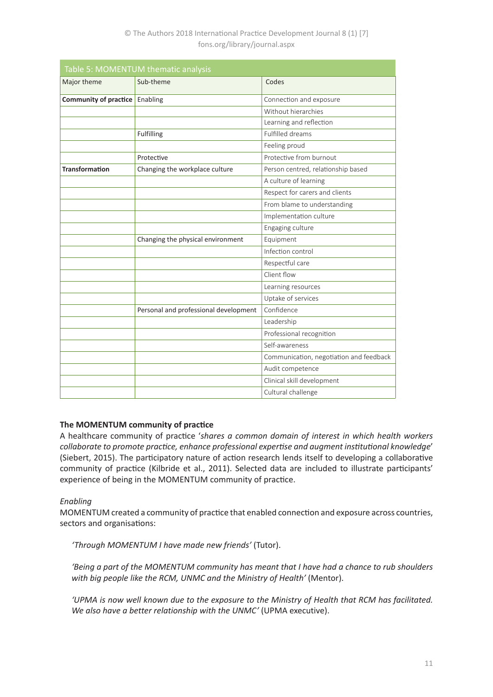| Table 5: MOMENTUM thematic analysis |                                       |                                         |  |
|-------------------------------------|---------------------------------------|-----------------------------------------|--|
| Major theme                         | Sub-theme                             | Codes                                   |  |
| Community of practice               | Enabling                              | Connection and exposure                 |  |
|                                     |                                       | Without hierarchies                     |  |
|                                     |                                       | Learning and reflection                 |  |
|                                     | Fulfilling                            | Fulfilled dreams                        |  |
|                                     |                                       | Feeling proud                           |  |
|                                     | Protective                            | Protective from burnout                 |  |
| <b>Transformation</b>               | Changing the workplace culture        | Person centred, relationship based      |  |
|                                     |                                       | A culture of learning                   |  |
|                                     |                                       | Respect for carers and clients          |  |
|                                     |                                       | From blame to understanding             |  |
|                                     |                                       | Implementation culture                  |  |
|                                     |                                       | Engaging culture                        |  |
|                                     | Changing the physical environment     | Equipment                               |  |
|                                     |                                       | Infection control                       |  |
|                                     |                                       | Respectful care                         |  |
|                                     |                                       | Client flow                             |  |
|                                     |                                       | Learning resources                      |  |
|                                     |                                       | Uptake of services                      |  |
|                                     | Personal and professional development | Confidence                              |  |
|                                     |                                       | Leadership                              |  |
|                                     |                                       | Professional recognition                |  |
|                                     |                                       | Self-awareness                          |  |
|                                     |                                       | Communication, negotiation and feedback |  |
|                                     |                                       | Audit competence                        |  |
|                                     |                                       | Clinical skill development              |  |
|                                     |                                       | Cultural challenge                      |  |

# **The MOMENTUM community of practice**

A healthcare community of practice '*shares a common domain of interest in which health workers collaborate to promote practice, enhance professional expertise and augment institutional knowledge*' (Siebert, 2015). The participatory nature of action research lends itself to developing a collaborative community of practice (Kilbride et al., 2011). Selected data are included to illustrate participants' experience of being in the MOMENTUM community of practice.

# *Enabling*

MOMENTUM created a community of practice that enabled connection and exposure across countries, sectors and organisations:

*'Through MOMENTUM I have made new friends'* (Tutor).

*'Being a part of the MOMENTUM community has meant that I have had a chance to rub shoulders*  with big people like the RCM, UNMC and the Ministry of Health' (Mentor).

*'UPMA is now well known due to the exposure to the Ministry of Health that RCM has facilitated. We also have a better relationship with the UNMC'* (UPMA executive).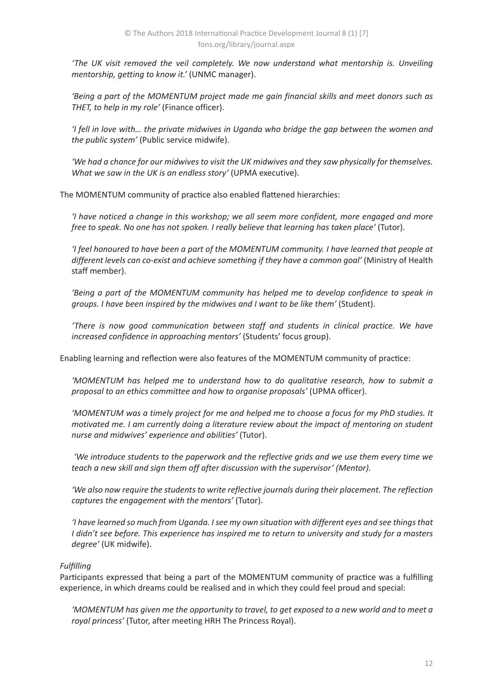*'The UK visit removed the veil completely. We now understand what mentorship is. Unveiling mentorship, getting to know it.'* (UNMC manager).

*'Being a part of the MOMENTUM project made me gain financial skills and meet donors such as THET, to help in my role'* (Finance officer).

*'I fell in love with… the private midwives in Uganda who bridge the gap between the women and the public system'* (Public service midwife).

*'We had a chance for our midwives to visit the UK midwives and they saw physically for themselves. What we saw in the UK is an endless story'* (UPMA executive).

The MOMENTUM community of practice also enabled flattened hierarchies:

*'I have noticed a change in this workshop; we all seem more confident, more engaged and more free to speak. No one has not spoken. I really believe that learning has taken place'* (Tutor).

*'I feel honoured to have been a part of the MOMENTUM community. I have learned that people at different levels can co-exist and achieve something if they have a common goal'* (Ministry of Health staff member).

*'Being a part of the MOMENTUM community has helped me to develop confidence to speak in groups. I have been inspired by the midwives and I want to be like them'* (Student).

*'There is now good communication between staff and students in clinical practice. We have increased confidence in approaching mentors'* (Students' focus group).

Enabling learning and reflection were also features of the MOMENTUM community of practice:

*'MOMENTUM has helped me to understand how to do qualitative research, how to submit a proposal to an ethics committee and how to organise proposals'* (UPMA officer).

*'MOMENTUM was a timely project for me and helped me to choose a focus for my PhD studies. It motivated me. I am currently doing a literature review about the impact of mentoring on student nurse and midwives' experience and abilities'* (Tutor).

 *'We introduce students to the paperwork and the reflective grids and we use them every time we teach a new skill and sign them off after discussion with the supervisor' (Mentor).* 

*'We also now require the students to write reflective journals during their placement. The reflection captures the engagement with the mentors'* (Tutor).

*'I have learned so much from Uganda. I see my own situation with different eyes and see things that I didn't see before. This experience has inspired me to return to university and study for a masters degree'* (UK midwife).

# *Fulfilling*

Participants expressed that being a part of the MOMENTUM community of practice was a fulfilling experience, in which dreams could be realised and in which they could feel proud and special:

*'MOMENTUM has given me the opportunity to travel, to get exposed to a new world and to meet a royal princess'* (Tutor, after meeting HRH The Princess Royal).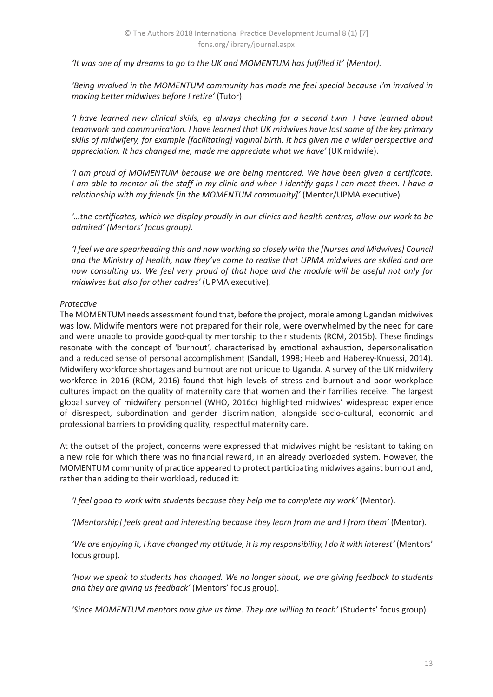*'It was one of my dreams to go to the UK and MOMENTUM has fulfilled it' (Mentor).* 

*'Being involved in the MOMENTUM community has made me feel special because I'm involved in making better midwives before I retire'* (Tutor).

*'I have learned new clinical skills, eg always checking for a second twin. I have learned about teamwork and communication. I have learned that UK midwives have lost some of the key primary skills of midwifery, for example [facilitating] vaginal birth. It has given me a wider perspective and appreciation. It has changed me, made me appreciate what we have'* (UK midwife).

*'I am proud of MOMENTUM because we are being mentored. We have been given a certificate. I am able to mentor all the staff in my clinic and when I identify gaps I can meet them. I have a relationship with my friends [in the MOMENTUM community]'* (Mentor/UPMA executive).

*'…the certificates, which we display proudly in our clinics and health centres, allow our work to be admired' (Mentors' focus group).* 

*'I feel we are spearheading this and now working so closely with the [Nurses and Midwives] Council and the Ministry of Health, now they've come to realise that UPMA midwives are skilled and are now consulting us. We feel very proud of that hope and the module will be useful not only for midwives but also for other cadres'* (UPMA executive).

### *Protective*

The MOMENTUM needs assessment found that, before the project, morale among Ugandan midwives was low. Midwife mentors were not prepared for their role, were overwhelmed by the need for care and were unable to provide good-quality mentorship to their students (RCM, 2015b). These findings resonate with the concept of 'burnout', characterised by emotional exhaustion, depersonalisation and a reduced sense of personal accomplishment (Sandall, 1998; Heeb and Haberey-Knuessi, 2014). Midwifery workforce shortages and burnout are not unique to Uganda. A survey of the UK midwifery workforce in 2016 (RCM, 2016) found that high levels of stress and burnout and poor workplace cultures impact on the quality of maternity care that women and their families receive. The largest global survey of midwifery personnel (WHO, 2016c) highlighted midwives' widespread experience of disrespect, subordination and gender discrimination, alongside socio-cultural, economic and professional barriers to providing quality, respectful maternity care.

At the outset of the project, concerns were expressed that midwives might be resistant to taking on a new role for which there was no financial reward, in an already overloaded system. However, the MOMENTUM community of practice appeared to protect participating midwives against burnout and, rather than adding to their workload, reduced it:

*'I feel good to work with students because they help me to complete my work'* (Mentor).

*'[Mentorship] feels great and interesting because they learn from me and I from them'* (Mentor).

*'We are enjoying it, I have changed my attitude, it is my responsibility, I do it with interest'* (Mentors' focus group).

*'How we speak to students has changed. We no longer shout, we are giving feedback to students and they are giving us feedback'* (Mentors' focus group).

*'Since MOMENTUM mentors now give us time. They are willing to teach'* (Students' focus group).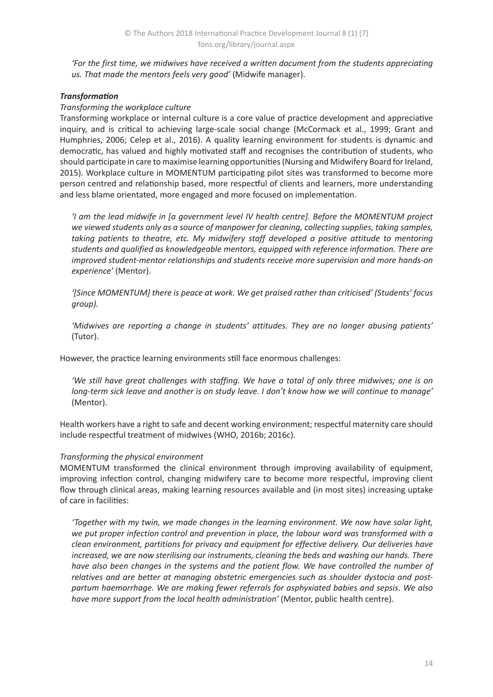*'For the first time, we midwives have received a written document from the students appreciating us. That made the mentors feels very good'* (Midwife manager).

# *Transformation*

# *Transforming the workplace culture*

Transforming workplace or internal culture is a core value of practice development and appreciative inquiry, and is critical to achieving large-scale social change (McCormack et al., 1999; Grant and Humphries, 2006; Celep et al., 2016). A quality learning environment for students is dynamic and democratic, has valued and highly motivated staff and recognises the contribution of students, who should participate in care to maximise learning opportunities (Nursing and Midwifery Board for Ireland, 2015). Workplace culture in MOMENTUM participating pilot sites was transformed to become more person centred and relationship based, more respectful of clients and learners, more understanding and less blame orientated, more engaged and more focused on implementation.

*'I am the lead midwife in [a government level IV health centre]. Before the MOMENTUM project we viewed students only as a source of manpower for cleaning, collecting supplies, taking samples, taking patients to theatre, etc. My midwifery staff developed a positive attitude to mentoring students and qualified as knowledgeable mentors, equipped with reference information. There are improved student-mentor relationships and students receive more supervision and more hands-on experience'* (Mentor).

*'[Since MOMENTUM] there is peace at work. We get praised rather than criticised' (Students' focus group).* 

*'Midwives are reporting a change in students' attitudes. They are no longer abusing patients'*  (Tutor).

However, the practice learning environments still face enormous challenges:

*'We still have great challenges with staffing. We have a total of only three midwives; one is on long-term sick leave and another is on study leave. I don't know how we will continue to manage'*  (Mentor).

Health workers have a right to safe and decent working environment; respectful maternity care should include respectful treatment of midwives (WHO, 2016b; 2016c).

# *Transforming the physical environment*

MOMENTUM transformed the clinical environment through improving availability of equipment, improving infection control, changing midwifery care to become more respectful, improving client flow through clinical areas, making learning resources available and (in most sites) increasing uptake of care in facilities:

*'Together with my twin, we made changes in the learning environment. We now have solar light, we put proper infection control and prevention in place, the labour ward was transformed with a clean environment, partitions for privacy and equipment for effective delivery. Our deliveries have increased, we are now sterilising our instruments, cleaning the beds and washing our hands. There have also been changes in the systems and the patient flow. We have controlled the number of relatives and are better at managing obstetric emergencies such as shoulder dystocia and postpartum haemorrhage. We are making fewer referrals for asphyxiated babies and sepsis. We also have more support from the local health administration'* (Mentor, public health centre).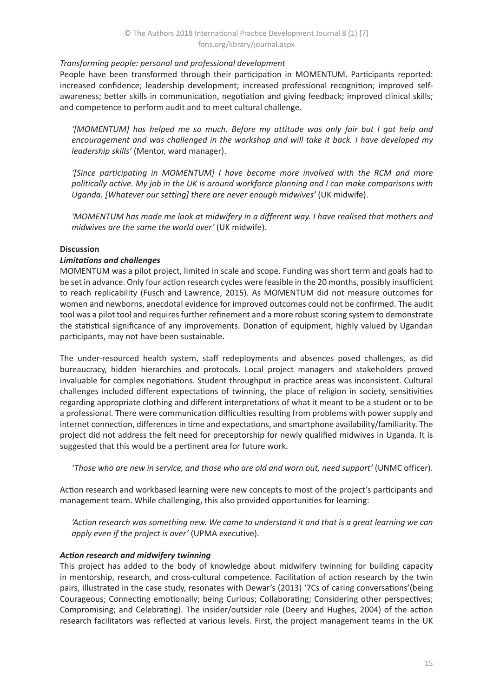### *Transforming people: personal and professional development*

People have been transformed through their participation in MOMENTUM. Participants reported: increased confidence; leadership development; increased professional recognition; improved selfawareness; better skills in communication, negotiation and giving feedback; improved clinical skills; and competence to perform audit and to meet cultural challenge.

*'[MOMENTUM] has helped me so much. Before my attitude was only fair but I got help and encouragement and was challenged in the workshop and will take it back. I have developed my leadership skills'* (Mentor, ward manager).

*'[Since participating in MOMENTUM] I have become more involved with the RCM and more politically active. My job in the UK is around workforce planning and I can make comparisons with Uganda. [Whatever our setting] there are never enough midwives'* (UK midwife).

*'MOMENTUM has made me look at midwifery in a different way. I have realised that mothers and midwives are the same the world over'* (UK midwife).

### **Discussion**

### *Limitations and challenges*

MOMENTUM was a pilot project, limited in scale and scope. Funding was short term and goals had to be set in advance. Only four action research cycles were feasible in the 20 months, possibly insufficient to reach replicability (Fusch and Lawrence, 2015). As MOMENTUM did not measure outcomes for women and newborns, anecdotal evidence for improved outcomes could not be confirmed. The audit tool was a pilot tool and requires further refinement and a more robust scoring system to demonstrate the statistical significance of any improvements. Donation of equipment, highly valued by Ugandan participants, may not have been sustainable.

The under-resourced health system, staff redeployments and absences posed challenges, as did bureaucracy, hidden hierarchies and protocols. Local project managers and stakeholders proved invaluable for complex negotiations. Student throughput in practice areas was inconsistent. Cultural challenges included different expectations of twinning, the place of religion in society, sensitivities regarding appropriate clothing and different interpretations of what it meant to be a student or to be a professional. There were communication difficulties resulting from problems with power supply and internet connection, differences in time and expectations, and smartphone availability/familiarity. The project did not address the felt need for preceptorship for newly qualified midwives in Uganda. It is suggested that this would be a pertinent area for future work.

*'Those who are new in service, and those who are old and worn out, need support'* (UNMC officer).

Action research and workbased learning were new concepts to most of the project's participants and management team. While challenging, this also provided opportunities for learning:

*'Action research was something new. We came to understand it and that is a great learning we can apply even if the project is over'* (UPMA executive).

### *Action research and midwifery twinning*

This project has added to the body of knowledge about midwifery twinning for building capacity in mentorship, research, and cross-cultural competence. Facilitation of action research by the twin pairs, illustrated in the case study, resonates with Dewar's (2013) '7Cs of caring conversations'(being Courageous; Connecting emotionally; being Curious; Collaborating; Considering other perspectives; Compromising; and Celebrating). The insider/outsider role (Deery and Hughes, 2004) of the action research facilitators was reflected at various levels. First, the project management teams in the UK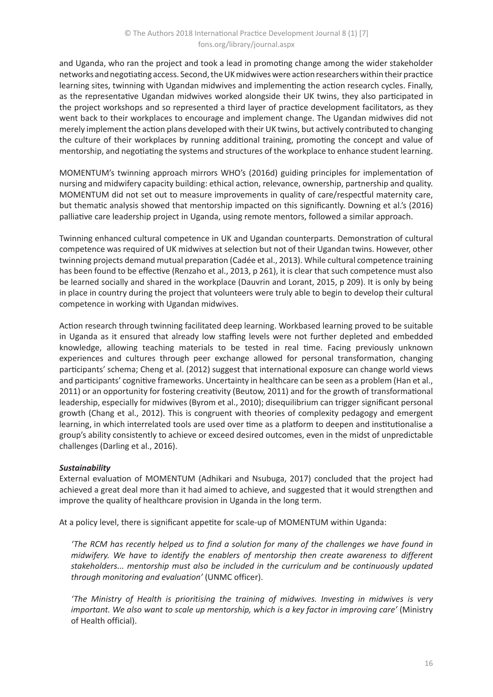and Uganda, who ran the project and took a lead in promoting change among the wider stakeholder networks and negotiating access. Second, the UK midwives were action researchers within their practice learning sites, twinning with Ugandan midwives and implementing the action research cycles. Finally, as the representative Ugandan midwives worked alongside their UK twins, they also participated in the project workshops and so represented a third layer of practice development facilitators, as they went back to their workplaces to encourage and implement change. The Ugandan midwives did not merely implement the action plans developed with their UK twins, but actively contributed to changing the culture of their workplaces by running additional training, promoting the concept and value of mentorship, and negotiating the systems and structures of the workplace to enhance student learning.

MOMENTUM's twinning approach mirrors WHO's (2016d) guiding principles for implementation of nursing and midwifery capacity building: ethical action, relevance, ownership, partnership and quality. MOMENTUM did not set out to measure improvements in quality of care/respectful maternity care, but thematic analysis showed that mentorship impacted on this significantly. Downing et al.'s (2016) palliative care leadership project in Uganda, using remote mentors, followed a similar approach.

Twinning enhanced cultural competence in UK and Ugandan counterparts. Demonstration of cultural competence was required of UK midwives at selection but not of their Ugandan twins. However, other twinning projects demand mutual preparation (Cadée et al., 2013). While cultural competence training has been found to be effective (Renzaho et al., 2013, p 261), it is clear that such competence must also be learned socially and shared in the workplace (Dauvrin and Lorant, 2015, p 209). It is only by being in place in country during the project that volunteers were truly able to begin to develop their cultural competence in working with Ugandan midwives.

Action research through twinning facilitated deep learning. Workbased learning proved to be suitable in Uganda as it ensured that already low staffing levels were not further depleted and embedded knowledge, allowing teaching materials to be tested in real time. Facing previously unknown experiences and cultures through peer exchange allowed for personal transformation, changing participants' schema; Cheng et al. (2012) suggest that international exposure can change world views and participants' cognitive frameworks. Uncertainty in healthcare can be seen as a problem (Han et al., 2011) or an opportunity for fostering creativity (Beutow, 2011) and for the growth of transformational leadership, especially for midwives (Byrom et al., 2010); disequilibrium can trigger significant personal growth (Chang et al., 2012). This is congruent with theories of complexity pedagogy and emergent learning, in which interrelated tools are used over time as a platform to deepen and institutionalise a group's ability consistently to achieve or exceed desired outcomes, even in the midst of unpredictable challenges (Darling et al., 2016).

### *Sustainability*

External evaluation of MOMENTUM (Adhikari and Nsubuga, 2017) concluded that the project had achieved a great deal more than it had aimed to achieve, and suggested that it would strengthen and improve the quality of healthcare provision in Uganda in the long term.

At a policy level, there is significant appetite for scale-up of MOMENTUM within Uganda:

*'The RCM has recently helped us to find a solution for many of the challenges we have found in midwifery. We have to identify the enablers of mentorship then create awareness to different stakeholders... mentorship must also be included in the curriculum and be continuously updated through monitoring and evaluation'* (UNMC officer).

*'The Ministry of Health is prioritising the training of midwives. Investing in midwives is very important. We also want to scale up mentorship, which is a key factor in improving care'* (Ministry of Health official).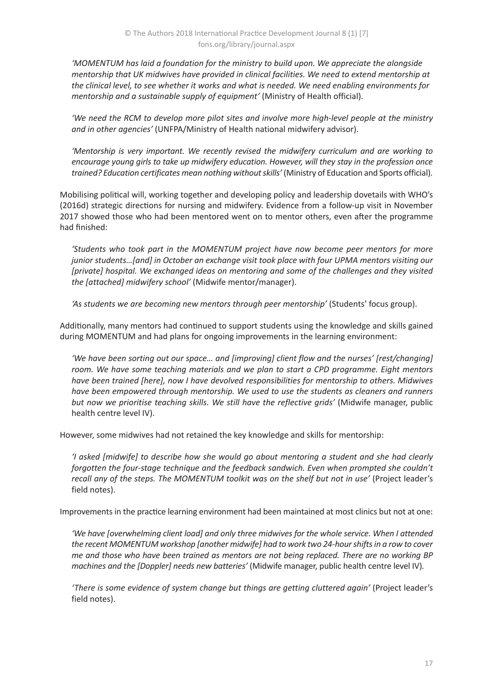*'MOMENTUM has laid a foundation for the ministry to build upon. We appreciate the alongside mentorship that UK midwives have provided in clinical facilities. We need to extend mentorship at the clinical level, to see whether it works and what is needed. We need enabling environments for mentorship and a sustainable supply of equipment'* (Ministry of Health official).

*'We need the RCM to develop more pilot sites and involve more high-level people at the ministry and in other agencies'* (UNFPA/Ministry of Health national midwifery advisor).

*'Mentorship is very important. We recently revised the midwifery curriculum and are working to encourage young girls to take up midwifery education. However, will they stay in the profession once trained? Education certificates mean nothing without skills'* (Ministry of Education and Sports official)*.*

Mobilising political will, working together and developing policy and leadership dovetails with WHO's (2016d) strategic directions for nursing and midwifery. Evidence from a follow-up visit in November 2017 showed those who had been mentored went on to mentor others, even after the programme had finished:

*'Students who took part in the MOMENTUM project have now become peer mentors for more junior students…[and] in October an exchange visit took place with four UPMA mentors visiting our [private] hospital. We exchanged ideas on mentoring and some of the challenges and they visited the [attached] midwifery school'* (Midwife mentor/manager).

*'As students we are becoming new mentors through peer mentorship'* (Students' focus group).

Additionally, many mentors had continued to support students using the knowledge and skills gained during MOMENTUM and had plans for ongoing improvements in the learning environment:

*'We have been sorting out our space… and [improving] client flow and the nurses' [rest/changing] room. We have some teaching materials and we plan to start a CPD programme. Eight mentors have been trained [here], now I have devolved responsibilities for mentorship to others. Midwives have been empowered through mentorship. We used to use the students as cleaners and runners*  but now we prioritise teaching skills. We still have the reflective grids' (Midwife manager, public health centre level IV).

However, some midwives had not retained the key knowledge and skills for mentorship:

*'I asked [midwife] to describe how she would go about mentoring a student and she had clearly forgotten the four-stage technique and the feedback sandwich. Even when prompted she couldn't recall any of the steps. The MOMENTUM toolkit was on the shelf but not in use'* (Project leader's field notes).

Improvements in the practice learning environment had been maintained at most clinics but not at one:

*'We have [overwhelming client load] and only three midwives for the whole service. When I attended the recent MOMENTUM workshop [another midwife] had to work two 24-hour shifts in a row to cover me and those who have been trained as mentors are not being replaced. There are no working BP machines and the [Doppler] needs new batteries'* (Midwife manager, public health centre level IV)*.* 

'There is some evidence of system change but things are getting cluttered again' (Project leader's field notes).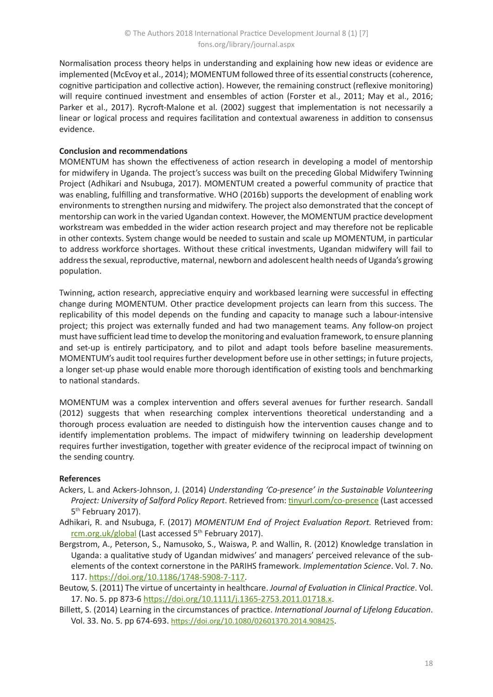Normalisation process theory helps in understanding and explaining how new ideas or evidence are implemented (McEvoy et al., 2014); MOMENTUM followed three of its essential constructs (coherence, cognitive participation and collective action). However, the remaining construct (reflexive monitoring) will require continued investment and ensembles of action (Forster et al., 2011; May et al., 2016; Parker et al., 2017). Rycroft-Malone et al. (2002) suggest that implementation is not necessarily a linear or logical process and requires facilitation and contextual awareness in addition to consensus evidence.

# **Conclusion and recommendations**

MOMENTUM has shown the effectiveness of action research in developing a model of mentorship for midwifery in Uganda. The project's success was built on the preceding Global Midwifery Twinning Project (Adhikari and Nsubuga, 2017). MOMENTUM created a powerful community of practice that was enabling, fulfilling and transformative. WHO (2016b) supports the development of enabling work environments to strengthen nursing and midwifery. The project also demonstrated that the concept of mentorship can work in the varied Ugandan context. However, the MOMENTUM practice development workstream was embedded in the wider action research project and may therefore not be replicable in other contexts. System change would be needed to sustain and scale up MOMENTUM, in particular to address workforce shortages. Without these critical investments, Ugandan midwifery will fail to address the sexual, reproductive, maternal, newborn and adolescent health needs of Uganda's growing population.

Twinning, action research, appreciative enquiry and workbased learning were successful in effecting change during MOMENTUM. Other practice development projects can learn from this success. The replicability of this model depends on the funding and capacity to manage such a labour-intensive project; this project was externally funded and had two management teams. Any follow-on project must have sufficient lead time to develop the monitoring and evaluation framework, to ensure planning and set-up is entirely participatory, and to pilot and adapt tools before baseline measurements. MOMENTUM's audit tool requires further development before use in other settings; in future projects, a longer set-up phase would enable more thorough identification of existing tools and benchmarking to national standards.

MOMENTUM was a complex intervention and offers several avenues for further research. Sandall (2012) suggests that when researching complex interventions theoretical understanding and a thorough process evaluation are needed to distinguish how the intervention causes change and to identify implementation problems. The impact of midwifery twinning on leadership development requires further investigation, together with greater evidence of the reciprocal impact of twinning on the sending country.

### **References**

- Ackers, L. and Ackers-Johnson, J. (2014) *Understanding 'Co-presence' in the Sustainable Volunteering Project: University of Salford Policy Report*. Retrieved from: [tinyurl.com/co-presence](http://tinyurl.com/co-presence) (Last accessed 5<sup>th</sup> February 2017).
- Adhikari, R. and Nsubuga, F. (2017) *MOMENTUM End of Project Evaluation Report.* Retrieved from: [rcm.org.uk/global](http://www.rcm.org.uk/global) (Last accessed 5<sup>th</sup> February 2017).
- Bergstrom, A., Peterson, S., Namusoko, S., Waiswa, P. and Wallin, R. (2012) Knowledge translation in Uganda: a qualitative study of Ugandan midwives' and managers' perceived relevance of the subelements of the context cornerstone in the PARIHS framework. *Implementation Science*. Vol. 7. No. 117. <https://doi.org/10.1186/1748-5908-7-117>.

Beutow, S. (2011) The virtue of uncertainty in healthcare. *Journal of Evaluation in Clinical Practice*. Vol. 17. No. 5. pp 873-6<https://doi.org/10.1111/j.1365-2753.2011.01718.x>.

Billett, S. (2014) Learning in the circumstances of practice. *International Journal of Lifelong Education*. Vol. 33. No. 5. pp 674-693. <https://doi.org/10.1080/02601370.2014.908425>.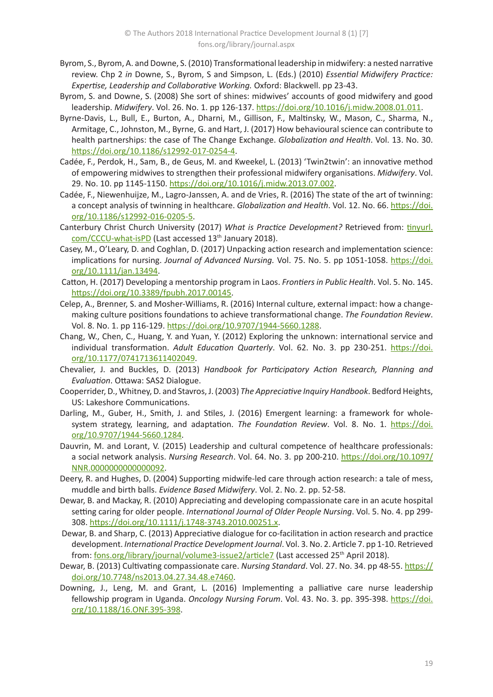- Byrom, S., Byrom, A. and Downe, S. (2010) Transformational leadership in midwifery: a nested narrative review. Chp 2 *in* Downe, S., Byrom, S and Simpson, L. (Eds.) (2010) *Essential Midwifery Practice: Expertise, Leadership and Collaborative Working.* Oxford: Blackwell. pp 23-43.
- Byrom, S. and Downe, S. (2008) She sort of shines: midwives' accounts of good midwifery and good leadership. *Midwifery*. Vol. 26. No. 1. pp 126-137. <https://doi.org/10.1016/j.midw.2008.01.011>.
- Byrne-Davis, L., Bull, E., Burton, A., Dharni, M., Gillison, F., Maltinsky, W., Mason, C., Sharma, N., Armitage, C., Johnston, M., Byrne, G. and Hart, J. (2017) How behavioural science can contribute to health partnerships: the case of The Change Exchange. *Globalization and Health*. Vol. 13. No. 30. <https://doi.org/10.1186/s12992-017-0254-4>.
- Cadée, F., Perdok, H., Sam, B., de Geus, M. and Kweekel, L. (2013) 'Twin2twin': an innovative method of empowering midwives to strengthen their professional midwifery organisations. *Midwifery*. Vol. 29. No. 10. pp 1145-1150. <https://doi.org/10.1016/j.midw.2013.07.002>.
- Cadée, F., Niewenhuijze, M., Lagro-Janssen, A. and de Vries, R. (2016) The state of the art of twinning: a concept analysis of twinning in healthcare. *Globalization and Health*. Vol. 12. No. 66. [https://doi.](https://doi.org/10.1186/s12992-016-0205-5) [org/10.1186/s12992-016-0205-5](https://doi.org/10.1186/s12992-016-0205-5).
- Canterbury Christ Church University (2017) *What is Practice Development?* Retrieved from: [tinyurl.](http://tinyurl.com/CCCU-what-isPD) [com/CCCU-what-isPD](http://tinyurl.com/CCCU-what-isPD) (Last accessed 13<sup>th</sup> January 2018).
- Casey, M., O'Leary, D. and Coghlan, D. (2017) Unpacking action research and implementation science: implications for nursing. *Journal of Advanced Nursing.* Vol. 75. No. 5. pp 1051-1058. [https://doi.](https://doi.org/10.1111/jan.13494) [org/10.1111/jan.13494](https://doi.org/10.1111/jan.13494).
- Catton, H. (2017) Developing a mentorship program in Laos. *Frontiers in Public Health*. Vol. 5. No. 145. <https://doi.org/10.3389/fpubh.2017.00145>.
- Celep, A., Brenner, S. and Mosher-Williams, R. (2016) Internal culture, external impact: how a changemaking culture positions foundations to achieve transformational change. *The Foundation Review*. Vol. 8. No. 1. pp 116-129. <https://doi.org/10.9707/1944-5660.1288>.
- Chang, W., Chen, C., Huang, Y. and Yuan, Y. (2012) Exploring the unknown: international service and individual transformation. *Adult Education Quarterly*. Vol. 62. No. 3. pp 230-251. [https://doi.](https://doi.org/10.1177/0741713611402049) [org/10.1177/0741713611402049](https://doi.org/10.1177/0741713611402049).
- Chevalier, J. and Buckles, D. (2013) *Handbook for Participatory Action Research, Planning and Evaluation*. Ottawa: SAS2 Dialogue.
- Cooperrider, D., Whitney, D. and Stavros, J. (2003) *The Appreciative Inquiry Handbook*. Bedford Heights, US: Lakeshore Communications.
- Darling, M., Guber, H., Smith, J. and Stiles, J. (2016) Emergent learning: a framework for wholesystem strategy, learning, and adaptation. *The Foundation Review*. Vol. 8. No. 1. [https://doi.](https://doi.org/10.9707/1944-5660.1284) [org/10.9707/1944-5660.1284](https://doi.org/10.9707/1944-5660.1284).
- Dauvrin, M. and Lorant, V. (2015) Leadership and cultural competence of healthcare professionals: a social network analysis. *Nursing Research*. Vol. 64. No. 3. pp 200-210. [https://doi.org/10.1097/](https://doi.org/10.1097/NNR.0000000000000092) [NNR.0000000000000092](https://doi.org/10.1097/NNR.0000000000000092).
- Deery, R. and Hughes, D. (2004) Supporting midwife-led care through action research: a tale of mess, muddle and birth balls. *Evidence Based Midwifery*. Vol. 2. No. 2. pp. 52-58.
- Dewar, B. and Mackay, R. (2010) Appreciating and developing compassionate care in an acute hospital setting caring for older people. *International Journal of Older People Nursing*. Vol. 5. No. 4. pp 299- 308.<https://doi.org/10.1111/j.1748-3743.2010.00251.x>.
- Dewar, B. and Sharp, C. (2013) Appreciative dialogue for co-facilitation in action research and practice development. *International Practice Development Journal*. Vol. 3. No. 2. Article 7. pp 1-10. Retrieved from: [fons.org/library/journal/volume3-issue2/article7](https://www.fons.org/library/journal/volume3-issue2/article7) (Last accessed 25<sup>th</sup> April 2018).
- Dewar, B. (2013) Cultivating compassionate care. *Nursing Standard*. Vol. 27. No. 34. pp 48-55. [https://](https://doi.org/10.7748/ns2013.04.27.34.48.e7460) [doi.org/10.7748/ns2013.04.27.34.48.e7460](https://doi.org/10.7748/ns2013.04.27.34.48.e7460).
- Downing, J., Leng, M. and Grant, L. (2016) Implementing a palliative care nurse leadership fellowship program in Uganda. *Oncology Nursing Forum*. Vol. 43. No. 3. pp. 395-398. [https://doi.](https://doi.org/10.1188/16.ONF.395-398) [org/10.1188/16.ONF.395-398](https://doi.org/10.1188/16.ONF.395-398).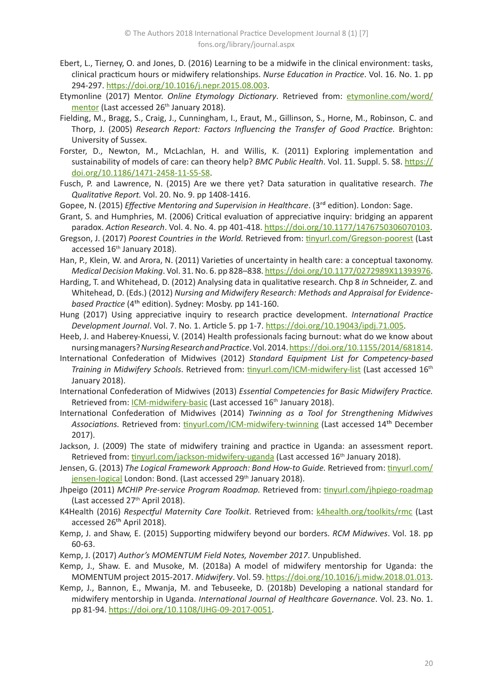- Ebert, L., Tierney, O. and Jones, D. (2016) Learning to be a midwife in the clinical environment: tasks, clinical practicum hours or midwifery relationships. *Nurse Education in Practice*. Vol. 16. No. 1. pp 294-297. <https://doi.org/10.1016/j.nepr.2015.08.003>.
- Etymonline (2017) Mentor. *Online Etymology Dictionary*. Retrieved from: *[etymonline.com/word/](https://www.etymonline.com/word/mentor)* [mentor](https://www.etymonline.com/word/mentor) (Last accessed 26<sup>th</sup> January 2018).
- Fielding, M., Bragg, S., Craig, J., Cunningham, I., Eraut, M., Gillinson, S., Horne, M., Robinson, C. and Thorp, J. (2005) *Research Report: Factors Influencing the Transfer of Good Practice.* Brighton: University of Sussex.
- Forster, D., Newton, M., McLachlan, H. and Willis, K. (2011) Exploring implementation and sustainability of models of care: can theory help? *BMC Public Health*. Vol. 11. Suppl. 5. S8. [https://](https://doi.org/10.1186/1471-2458-11-S5-S8) [doi.org/10.1186/1471-2458-11-S5-S8](https://doi.org/10.1186/1471-2458-11-S5-S8).
- Fusch, P. and Lawrence, N. (2015) Are we there yet? Data saturation in qualitative research. *The Qualitative Report.* Vol. 20. No. 9. pp 1408-1416.
- Gopee, N. (2015) *Effective Mentoring and Supervision in Healthcare*. (3rd edition). London: Sage.
- Grant, S. and Humphries, M. (2006) Critical evaluation of appreciative inquiry: bridging an apparent paradox. *Action Research*. Vol. 4. No. 4. pp 401-418.<https://doi.org/10.1177/1476750306070103>.
- Gregson, J. (2017) *Poorest Countries in the World.* Retrieved from: [tinyurl.com/Gregson-poorest](http://tinyurl.com/Gregson-poorest) (Last accessed 16<sup>th</sup> January 2018).
- Han, P., Klein, W. and Arora, N. (2011) Varieties of uncertainty in health care: a conceptual taxonomy. *Medical Decision Making*. Vol. 31. No. 6. pp 828–838.<https://doi.org/10.1177/0272989X11393976>.
- Harding, T. and Whitehead, D. (2012) Analysing data in qualitative research. Chp 8 *in* Schneider, Z. and Whitehead, D. (Eds.) (2012) *Nursing and Midwifery Research: Methods and Appraisal for Evidencebased Practice* (4th edition). Sydney: Mosby. pp 141-160.
- Hung (2017) Using appreciative inquiry to research practice development. *International Practice Development Journal*. Vol. 7. No. 1. Article 5. pp 1-7.<https://doi.org/10.19043/ipdj.71.005>.
- Heeb, J. and Haberey-Knuessi, V. (2014) Health professionals facing burnout: what do we know about nursing managers? *Nursing Research and Practice*. Vol. 2014.<https://doi.org/10.1155/2014/681814>.
- International Confederation of Midwives (2012) *Standard Equipment List for Competency-based Training in Midwifery Schools*. Retrieved from: [tinyurl.com/ICM-midwifery-list](http://tinyurl.com/ICM-midwifery-list) (Last accessed 16th January 2018).
- International Confederation of Midwives (2013) *Essential Competencies for Basic Midwifery Practice.*  Retrieved from: *ICM-midwifery-basic* (Last accessed 16<sup>th</sup> January 2018).
- International Confederation of Midwives (2014) *Twinning as a Tool for Strengthening Midwives*  Associations. Retrieved from: [tinyurl.com/ICM-midwifery-twinning](http://tinyurl.com/ICM-midwifery-twinning) (Last accessed 14<sup>th</sup> December 2017).
- Jackson, J. (2009) The state of midwifery training and practice in Uganda: an assessment report. Retrieved from: [tinyurl.com/jackson-midwifery-uganda](http://tinyurl.com/jackson-midwifery-uganda) (Last accessed 16<sup>th</sup> January 2018).
- Jensen, G. (2013) *The Logical Framework Approach: Bond How-to Guide.* Retrieved from: [tinyurl.com/](http://tinyurl.com/jensen-logical) [jensen-logical](http://tinyurl.com/jensen-logical) London: Bond. (Last accessed 29<sup>th</sup> January 2018).
- Jhpeigo (2011) *MCHIP Pre-service Program Roadmap.* Retrieved from: [tinyurl.com/jhpiego-roadmap](http://tinyurl.com/jhpiego-roadmap) (Last accessed 27<sup>th</sup> April 2018).
- K4Health (2016) *Respectful Maternity Care Toolkit*. Retrieved from: [k4health.org/toolkits/rmc](https://www.k4health.org/toolkits/rmc) (Last accessed 26<sup>th</sup> April 2018).
- Kemp, J. and Shaw, E. (2015) Supporting midwifery beyond our borders. *RCM Midwives*. Vol. 18. pp 60-63.
- Kemp, J. (2017) *Author's MOMENTUM Field Notes, November 2017*. Unpublished.
- Kemp, J., Shaw. E. and Musoke, M. (2018a) A model of midwifery mentorship for Uganda: the MOMENTUM project 2015-2017. *Midwifery*. Vol. 59.<https://doi.org/10.1016/j.midw.2018.01.013>.
- Kemp, J., Bannon, E., Mwanja, M. and Tebuseeke, D. (2018b) Developing a national standard for midwifery mentorship in Uganda. *International Journal of Healthcare Governance*. Vol. 23. No. 1. pp 81-94.<https://doi.org/10.1108/IJHG-09-2017-0051>.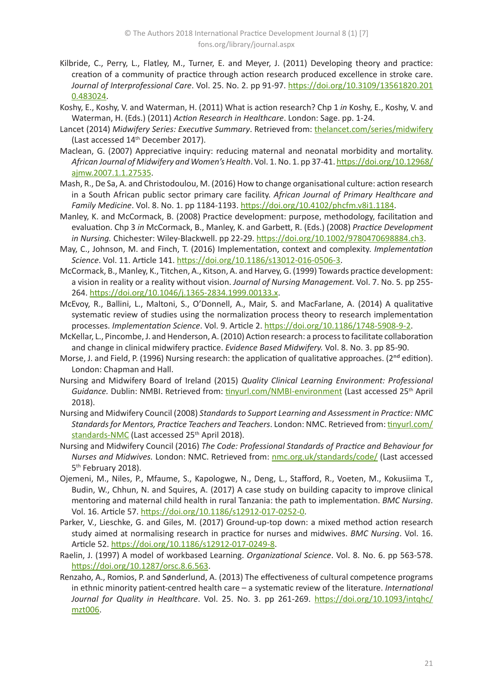- Kilbride, C., Perry, L., Flatley, M., Turner, E. and Meyer, J. (2011) Developing theory and practice: creation of a community of practice through action research produced excellence in stroke care. *Journal of Interprofessional Care*. Vol. 25. No. 2. pp 91-97. [https://doi.org/10.3109/13561820.201](https://doi.org/10.3109/13561820.2010.483024) [0.483024](https://doi.org/10.3109/13561820.2010.483024).
- Koshy, E., Koshy, V. and Waterman, H. (2011) What is action research? Chp 1 *in* Koshy, E., Koshy, V. and Waterman, H. (Eds.) (2011) *Action Research in Healthcare*. London: Sage. pp. 1-24.
- Lancet (2014) *Midwifery Series: Executive Summary*. Retrieved from: [thelancet.com/series/midwifery](http://www.thelancet.com/series/midwifery) (Last accessed 14th December 2017).
- Maclean, G. (2007) Appreciative inquiry: reducing maternal and neonatal morbidity and mortality. *African Journal of Midwifery and Women's Health*. Vol. 1. No. 1. pp 37-41. [https://doi.org/10.12968/](https://doi.org/10.12968/ajmw.2007.1.1.27535) [ajmw.2007.1.1.27535](https://doi.org/10.12968/ajmw.2007.1.1.27535).
- Mash, R., De Sa, A. and Christodoulou, M. (2016) How to change organisational culture: action research in a South African public sector primary care facility. *African Journal of Primary Healthcare and Family Medicine*. Vol. 8. No. 1. pp 1184-1193. <https://doi.org/10.4102/phcfm.v8i1.1184>.
- Manley, K. and McCormack, B. (2008) Practice development: purpose, methodology, facilitation and evaluation. Chp 3 *in* McCormack, B., Manley, K. and Garbett, R. (Eds.) (2008) *Practice Development in Nursing.* Chichester: Wiley-Blackwell. pp 22-29. <https://doi.org/10.1002/9780470698884.ch3>.
- May, C., Johnson, M. and Finch, T. (2016) Implementation, context and complexity. *Implementation Science*. Vol. 11. Article 141. <https://doi.org/10.1186/s13012-016-0506-3>.
- McCormack, B., Manley, K., Titchen, A., Kitson, A. and Harvey, G. (1999) Towards practice development: a vision in reality or a reality without vision. *Journal of Nursing Management.* Vol. 7. No. 5. pp 255- 264.<https://doi.org/10.1046/j.1365-2834.1999.00133.x>.
- McEvoy, R., Ballini, L., Maltoni, S., O'Donnell, A., Mair, S. and MacFarlane, A. (2014) A qualitative systematic review of studies using the normalization process theory to research implementation processes. *Implementation Science*. Vol. 9. Article 2.<https://doi.org/10.1186/1748-5908-9-2>.
- McKellar, L., Pincombe, J. and Henderson, A. (2010) Action research: a process to facilitate collaboration and change in clinical midwifery practice. *Evidence Based Midwifery.* Vol. 8. No. 3. pp 85-90.
- Morse, J. and Field, P. (1996) Nursing research: the application of qualitative approaches. ( $2<sup>nd</sup>$  edition). London: Chapman and Hall.
- Nursing and Midwifery Board of Ireland (2015) *Quality Clinical Learning Environment: Professional*  Guidance. Dublin: NMBI. Retrieved from: [tinyurl.com/NMBI-environment](http://tinyurl.com/NMBI-environment) (Last accessed 25<sup>th</sup> April 2018).
- Nursing and Midwifery Council (2008) *Standards to Support Learning and Assessment in Practice: NMC Standards for Mentors, Practice Teachers and Teachers*. London: NMC. Retrieved from: [tinyurl.com/](http://tinyurl.com/standards-NMC) [standards-NMC](http://tinyurl.com/standards-NMC) (Last accessed 25<sup>th</sup> April 2018).
- Nursing and Midwifery Council (2016) *The Code: Professional Standards of Practice and Behaviour for Nurses and Midwives.* London: NMC. Retrieved from: [nmc.org.uk/standards/code/](https://www.nmc.org.uk/standards/code/) (Last accessed 5<sup>th</sup> February 2018).
- Ojemeni, M., Niles, P., Mfaume, S., Kapologwe, N., Deng, L., Stafford, R., Voeten, M., Kokusiima T., Budin, W., Chhun, N. and Squires, A. (2017) A case study on building capacity to improve clinical mentoring and maternal child health in rural Tanzania: the path to implementation. *BMC Nursing*. Vol. 16. Article 57.<https://doi.org/10.1186/s12912-017-0252-0>.
- Parker, V., Lieschke, G. and Giles, M. (2017) Ground-up-top down: a mixed method action research study aimed at normalising research in practice for nurses and midwives. *BMC Nursing*. Vol. 16. Article 52.<https://doi.org/10.1186/s12912-017-0249-8>.
- Raelin, J. (1997) A model of workbased Learning. *Organizational Science*. Vol. 8. No. 6. pp 563-578. <https://doi.org/10.1287/orsc.8.6.563>.
- Renzaho, A., Romios, P. and Sønderlund, A. (2013) The effectiveness of cultural competence programs in ethnic minority patient-centred health care – a systematic review of the literature. *International Journal for Quality in Healthcare*. Vol. 25. No. 3. pp 261-269. [https://doi.org/10.1093/intqhc/](https://doi.org/10.1093/intqhc/mzt006) [mzt006](https://doi.org/10.1093/intqhc/mzt006).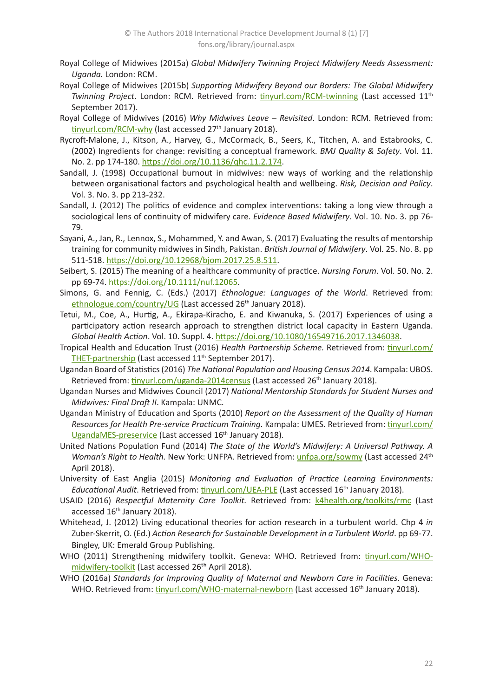- Royal College of Midwives (2015a) *Global Midwifery Twinning Project Midwifery Needs Assessment: Uganda.* London: RCM.
- Royal College of Midwives (2015b) *Supporting Midwifery Beyond our Borders: The Global Midwifery Twinning Project*. London: RCM. Retrieved from: [tinyurl.com/RCM-twinning](http://tinyurl.com/RCM-twinning) (Last accessed 11<sup>th</sup>) September 2017).
- Royal College of Midwives (2016) *Why Midwives Leave Revisited*. London: RCM. Retrieved from: [tinyurl.com/RCM-why](http://tinyurl.com/RCM-why) (last accessed 27<sup>th</sup> January 2018).
- Rycroft-Malone, J., Kitson, A., Harvey, G., McCormack, B., Seers, K., Titchen, A. and Estabrooks, C. (2002) Ingredients for change: revisiting a conceptual framework. *BMJ Quality & Safety*. Vol. 11. No. 2. pp 174-180. <https://doi.org/10.1136/qhc.11.2.174>.
- Sandall, J. (1998) Occupational burnout in midwives: new ways of working and the relationship between organisational factors and psychological health and wellbeing. *Risk, Decision and Policy*. Vol. 3. No. 3. pp 213-232.
- Sandall, J. (2012) The politics of evidence and complex interventions: taking a long view through a sociological lens of continuity of midwifery care. *Evidence Based Midwifery*. Vol. 10. No. 3. pp 76- 79.
- Sayani, A., Jan, R., Lennox, S., Mohammed, Y. and Awan, S. (2017) Evaluating the results of mentorship training for community midwives in Sindh, Pakistan. *British Journal of Midwifery*. Vol. 25. No. 8. pp 511-518. <https://doi.org/10.12968/bjom.2017.25.8.511>.
- Seibert, S. (2015) The meaning of a healthcare community of practice. *Nursing Forum*. Vol. 50. No. 2. pp 69-74.<https://doi.org/10.1111/nuf.12065>.
- Simons, G. and Fennig, C. (Eds.) (2017) *Ethnologue: Languages of the World*. Retrieved from: [ethnologue.com/country/UG](https://www.ethnologue.com/country/UG) (Last accessed 26<sup>th</sup> January 2018).
- Tetui, M., Coe, A., Hurtig, A., Ekirapa-Kiracho, E. and Kiwanuka, S. (2017) Experiences of using a participatory action research approach to strengthen district local capacity in Eastern Uganda. *Global Health Action*. Vol. 10. Suppl. 4.<https://doi.org/10.1080/16549716.2017.1346038>.
- Tropical Health and Education Trust (2016) *Health Partnership Scheme.* Retrieved from: [tinyurl.com/](http://tinyurl.com/THET-partnership) [THET-partnership](http://tinyurl.com/THET-partnership) (Last accessed 11<sup>th</sup> September 2017).
- Ugandan Board of Statistics (2016) *The National Population and Housing Census 2014*. Kampala: UBOS. Retrieved from: [tinyurl.com/uganda-2014census](http://tinyurl.com/uganda-2014census) (Last accessed 26<sup>th</sup> January 2018).
- Ugandan Nurses and Midwives Council (2017) *National Mentorship Standards for Student Nurses and Midwives: Final Draft II*. Kampala: UNMC.
- Ugandan Ministry of Education and Sports (2010) *Report on the Assessment of the Quality of Human Resources for Health Pre-service Practicum Training.* Kampala: UMES. Retrieved from: [tinyurl.com/](http://tinyurl.com/UgandaMES-preservice) [UgandaMES-preservice](http://tinyurl.com/UgandaMES-preservice) (Last accessed 16<sup>th</sup> January 2018).
- United Nations Population Fund (2014) *The State of the World's Midwifery: A Universal Pathway. A Woman's Right to Health.* New York: UNFPA. Retrieved from: [unfpa.org/sowmy](https://www.unfpa.org/sowmy) (Last accessed 24<sup>th</sup>) April 2018).
- University of East Anglia (2015) *Monitoring and Evaluation of Practice Learning Environments: Educational Audit*. Retrieved from: [tinyurl.com/UEA-PLE](http://tinyurl.com/UEA-PLE) (Last accessed 16th January 2018).
- USAID (2016) Respectful Maternity Care Toolkit. Retrieved from: kahealth.org/toolkits/rmc (Last accessed 16<sup>th</sup> January 2018).
- Whitehead, J. (2012) Living educational theories for action research in a turbulent world. Chp 4 *in* Zuber-Skerrit, O. (Ed.) *Action Research for Sustainable Development in a Turbulent World*. pp 69-77. Bingley, UK: Emerald Group Publishing.
- WHO (2011) Strengthening midwifery toolkit. Geneva: WHO. Retrieved from: [tinyurl.com/WHO](http://tinyurl.com/WHO-midwifery-toolkit)[midwifery-toolkit](http://tinyurl.com/WHO-midwifery-toolkit) (Last accessed 26<sup>th</sup> April 2018).
- WHO (2016a) *Standards for Improving Quality of Maternal and Newborn Care in Facilities.* Geneva: WHO. Retrieved from: [tinyurl.com/WHO-maternal-newborn](http://tinyurl.com/WHO-maternal-newborn) (Last accessed 16<sup>th</sup> January 2018).